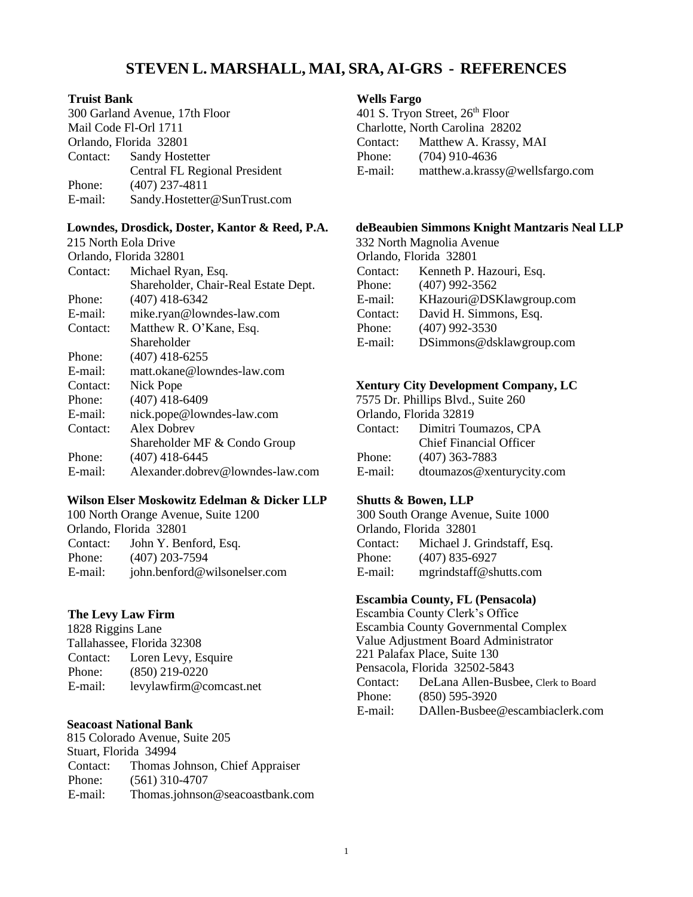# **STEVEN L. MARSHALL, MAI, SRA, AI-GRS - REFERENCES**

#### **Truist Bank**

300 Garland Avenue, 17th Floor Mail Code Fl-Orl 1711 Orlando, Florida 32801 Contact: Sandy Hostetter Central FL Regional President Phone: (407) 237-4811 E-mail: Sandy.Hostetter@SunTrust.com

# **Lowndes, Drosdick, Doster, Kantor & Reed, P.A.**

| 215 North Eola Drive   |                                      |
|------------------------|--------------------------------------|
| Orlando, Florida 32801 |                                      |
| Contact:               | Michael Ryan, Esq.                   |
|                        | Shareholder, Chair-Real Estate Dept. |
| Phone:                 | $(407)$ 418-6342                     |
| E-mail:                | mike.ryan@lowndes-law.com            |
| Contact:               | Matthew R. O'Kane, Esq.              |
|                        | Shareholder                          |
| Phone:                 | $(407)$ 418-6255                     |
| E-mail:                | matt.okane@lowndes-law.com           |
| Contact:               | Nick Pope                            |
| Phone:                 | $(407)$ 418-6409                     |
| E-mail:                | nick.pope@lowndes-law.com            |
| Contact:               | Alex Dobrey                          |
|                        | Shareholder MF & Condo Group         |
| Phone:                 | $(407)$ 418-6445                     |
| E-mail:                | Alexander.dobrev@lowndes-law.com     |
|                        |                                      |

#### **Wilson Elser Moskowitz Edelman & Dicker LLP**

100 North Orange Avenue, Suite 1200 Orlando, Florida 32801 Contact: John Y. Benford, Esq. Phone: (407) 203-7594 E-mail: [john.benford@wilsonelser.com](mailto:john.benford@wilsonelser.com)

# **The Levy Law Firm**

1828 Riggins Lane Tallahassee, Florida 32308 Contact: Loren Levy, Esquire Phone: (850) 219-0220 E-mail: [levylawfirm@comcast.net](mailto:levylawfirm@comcast.net)

# **Seacoast National Bank**

815 Colorado Avenue, Suite 205 Stuart, Florida 34994 Contact: Thomas Johnson, Chief Appraiser Phone: (561) 310-4707 E-mail: Thomas.johnson@seacoastbank.com

#### **Wells Fargo**

401 S. Tryon Street, 26<sup>th</sup> Floor Charlotte, North Carolina 28202 Contact: Matthew A. Krassy, MAI Phone: (704) 910-4636 E-mail: [matthew.a.krassy@wellsfargo.com](mailto:matthew.a.krassy@wellsfargo.com) 

## **deBeaubien Simmons Knight Mantzaris Neal LLP**

332 North Magnolia Avenue Orlando, Florida 32801 Contact: Kenneth P. Hazouri, Esq. Phone: (407) 992-3562 E-mail: [KHazouri@DSKlawgroup.com](mailto:KHazouri@DSKlawgroup.com) Contact: David H. Simmons, Esq. Phone: (407) 992-3530 E-mail: [DSimmons@dsklawgroup.com](mailto:DSimmons@dsklawgroup.com)

# **Xentury City Development Company, LC**

7575 Dr. Phillips Blvd., Suite 260 Orlando, Florida 32819 Contact: Dimitri Toumazos, CPA Chief Financial Officer Phone: (407) 363-7883 E-mail: [dtoumazos@xenturycity.com](mailto:dtoumazos@xenturycity.com)

# **Shutts & Bowen, LLP**

300 South Orange Avenue, Suite 1000 Orlando, Florida 32801 Contact: Michael J. Grindstaff, Esq. Phone: (407) 835-6927 E-mail: [mgrindstaff@shutts.com](mailto:mgrindstaff@shutts.com)

# **Escambia County, FL (Pensacola)**

Escambia County Clerk's Office Escambia County Governmental Complex Value Adjustment Board Administrator 221 Palafax Place, Suite 130 Pensacola, Florida 32502-5843 Contact: DeLana Allen-Busbee, Clerk to Board Phone: (850) 595-3920 E-mail: [DAllen-Busbee@escambiaclerk.com](mailto:DAllen-Busbee@escambiaclerk.com)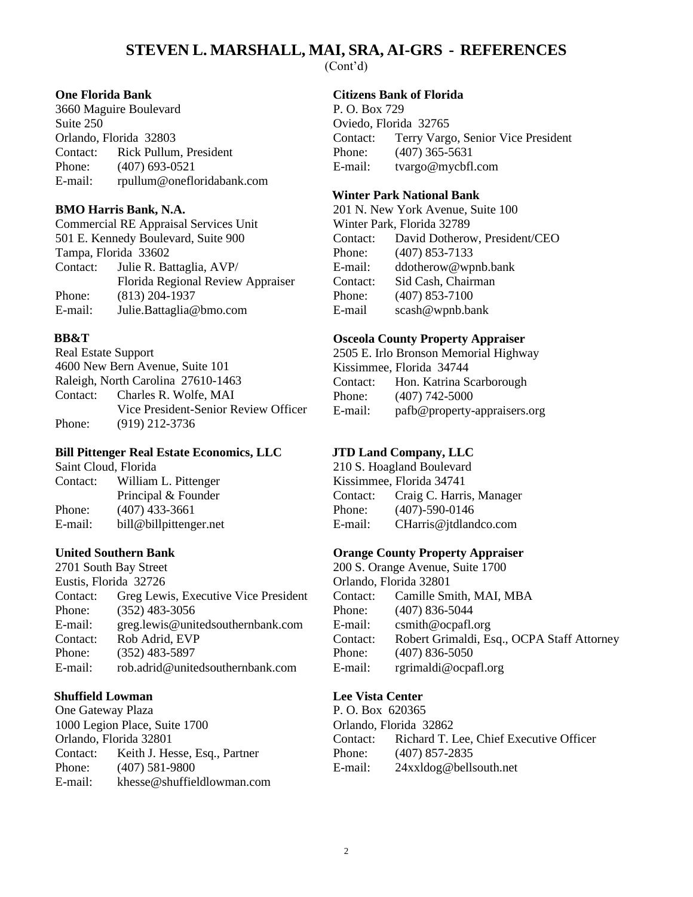## **STEVEN L. MARSHALL, MAI, SRA, AI-GRS - REFERENCES** (Cont'd)

**One Florida Bank**

3660 Maguire Boulevard Suite 250 Orlando, Florida 32803 Contact: Rick Pullum, President Phone: (407) 693-0521 E-mail: [rpullum@onefloridabank.com](mailto:rpullum@onefloridabank.com)

#### **BMO Harris Bank, N.A.**

Commercial RE Appraisal Services Unit 501 E. Kennedy Boulevard, Suite 900 Tampa, Florida 33602 Contact: Julie R. Battaglia, AVP/ Florida Regional Review Appraiser Phone: (813) 204-1937 E-mail: [Julie.Battaglia@bmo.com](mailto:Julie.Battaglia@bmo.com)

## **BB&T**

Real Estate Support 4600 New Bern Avenue, Suite 101 Raleigh, North Carolina 27610-1463 Contact: Charles R. Wolfe, MAI Vice President-Senior Review Officer Phone: (919) 212-3736

## **Bill Pittenger Real Estate Economics, LLC**

Saint Cloud, Florida Contact: William L. Pittenger Principal & Founder Phone: (407) 433-3661 E-mail: [bill@billpittenger.net](mailto:bill@billpittenger.net)

#### **United Southern Bank**

2701 South Bay Street Eustis, Florida 32726 Contact: Greg Lewis, Executive Vice President Phone: (352) 483-3056 E-mail: [greg.lewis@unitedsouthernbank.com](mailto:rob.adrid@unitedsouthernbank.com) Contact: Rob Adrid, EVP Phone: (352) 483-5897 E-mail: rob.adrid@unitedsouthernbank.com

#### **Shuffield Lowman**

One Gateway Plaza 1000 Legion Place, Suite 1700 Orlando, Florida 32801 Contact: Keith J. Hesse, Esq., Partner Phone: (407) 581-9800 E-mail: [khesse@shuffieldlowman.com](mailto:khesse@shuffieldlowman.com) **Citizens Bank of Florida**

P. O. Box 729 Oviedo, Florida 32765 Contact: Terry Vargo, Senior Vice President Phone: (407) 365-5631 E-mail: [tvargo@mycbfl.com](mailto:tvargo@mycbfl.com)

## **Winter Park National Bank**

201 N. New York Avenue, Suite 100 Winter Park, Florida 32789 Contact: David Dotherow, President/CEO Phone: (407) 853-7133 E-mail: [ddotherow@wpnb.bank](mailto:ddotherow@wpnb.bank) Contact: Sid Cash, Chairman Phone: (407) 853-7100 E-mail scash@wpnb.bank

#### **Osceola County Property Appraiser**

2505 E. Irlo Bronson Memorial Highway Kissimmee, Florida 34744 Contact: Hon. Katrina Scarborough Phone: (407) 742-5000 E-mail: [pafb@property-appraisers.org](mailto:pafb@property-appraisers.org)

# **JTD Land Company, LLC**

210 S. Hoagland Boulevard Kissimmee, Florida 34741 Contact: Craig C. Harris, Manager Phone: (407)-590-0146 E-mail: [CHarris@jtdlandco.com](mailto:CHarris@jtdlandco.com)

#### **Orange County Property Appraiser**

200 S. Orange Avenue, Suite 1700 Orlando, Florida 32801 Contact: Camille Smith, MAI, MBA Phone: (407) 836-5044 E-mail: [csmith@ocpafl.org](mailto:csmith@ocpafl.org) Contact: Robert Grimaldi, Esq., OCPA Staff Attorney Phone: (407) 836-5050 E-mail: [rgrimaldi@ocpafl.org](mailto:rgrimaldi@ocpafl.org)

#### **Lee Vista Center**

P. O. Box 620365 Orlando, Florida 32862 Contact: Richard T. Lee, Chief Executive Officer Phone: (407) 857-2835 E-mail: [24xxldog@bellsouth.net](mailto:csuazo@bpop.com)